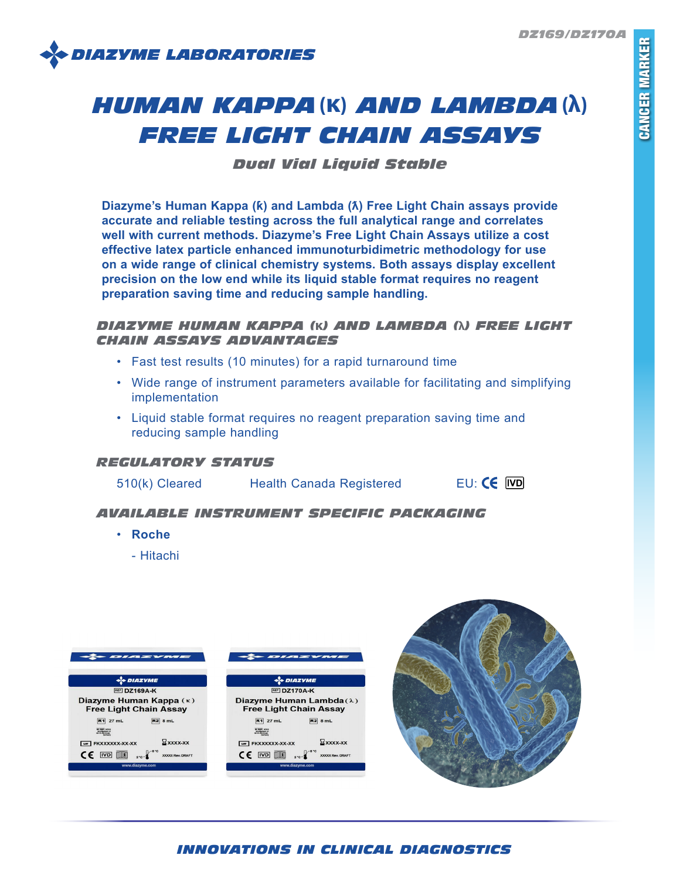*DZ169/DZ170A*



# *HUMAN KAPPA***(κ)** *AND LAMBDA***(λ)** *FREE LIGHT CHAIN ASSAYS*

*Dual Vial Liquid Stable*

**Diazyme's Human Kappa (ƙ) and Lambda (ƛ) Free Light Chain assays provide accurate and reliable testing across the full analytical range and correlates well with current methods. Diazyme's Free Light Chain Assays utilize a cost effective latex particle enhanced immunoturbidimetric methodology for use on a wide range of clinical chemistry systems. Both assays display excellent precision on the low end while its liquid stable format requires no reagent preparation saving time and reducing sample handling.**

# *DIAZYME HUMAN KAPPA (***κ***) AND LAMBDA (***λ***) FREE LIGHT CHAIN ASSAYS ADVANTAGES*

- Fast test results (10 minutes) for a rapid turnaround time
- Wide range of instrument parameters available for facilitating and simplifying implementation
- Liquid stable format requires no reagent preparation saving time and reducing sample handling

## *REGULATORY STATUS*

| 510(k) Cleared |
|----------------|
|----------------|

Health Canada Registered EU: CE IVD

# *AVAILABLE INSTRUMENT SPECIFIC PACKAGING*

- **Roche**
	- Hitachi



# *INNOVATIONS IN CLINICAL DIAGNOSTICS*